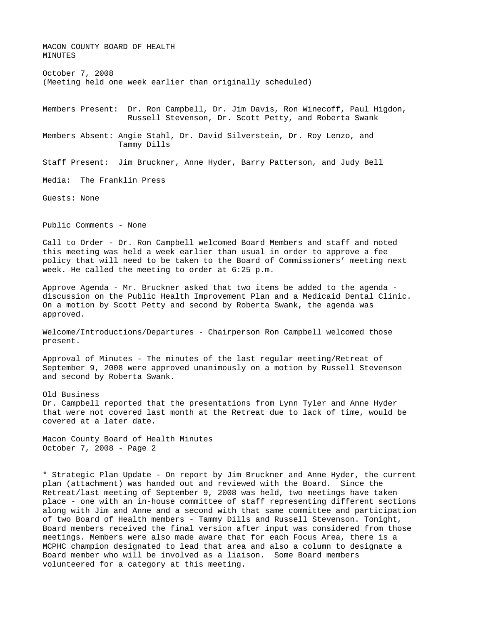MACON COUNTY BOARD OF HEALTH MINUTES October 7, 2008 (Meeting held one week earlier than originally scheduled) Members Present: Dr. Ron Campbell, Dr. Jim Davis, Ron Winecoff, Paul Higdon, Russell Stevenson, Dr. Scott Petty, and Roberta Swank Members Absent: Angie Stahl, Dr. David Silverstein, Dr. Roy Lenzo, and Tammy Dills Staff Present: Jim Bruckner, Anne Hyder, Barry Patterson, and Judy Bell Media: The Franklin Press Guests: None Public Comments - None Call to Order - Dr. Ron Campbell welcomed Board Members and staff and noted this meeting was held a week earlier than usual in order to approve a fee policy that will need to be taken to the Board of Commissioners' meeting next week. He called the meeting to order at 6:25 p.m. Approve Agenda - Mr. Bruckner asked that two items be added to the agenda discussion on the Public Health Improvement Plan and a Medicaid Dental Clinic. On a motion by Scott Petty and second by Roberta Swank, the agenda was approved. Welcome/Introductions/Departures - Chairperson Ron Campbell welcomed those present. Approval of Minutes - The minutes of the last regular meeting/Retreat of September 9, 2008 were approved unanimously on a motion by Russell Stevenson and second by Roberta Swank. Old Business Dr. Campbell reported that the presentations from Lynn Tyler and Anne Hyder

that were not covered last month at the Retreat due to lack of time, would be covered at a later date.

Macon County Board of Health Minutes October 7, 2008 - Page 2

\* Strategic Plan Update - On report by Jim Bruckner and Anne Hyder, the current plan (attachment) was handed out and reviewed with the Board. Since the Retreat/last meeting of September 9, 2008 was held, two meetings have taken place - one with an in-house committee of staff representing different sections along with Jim and Anne and a second with that same committee and participation of two Board of Health members - Tammy Dills and Russell Stevenson. Tonight, Board members received the final version after input was considered from those meetings. Members were also made aware that for each Focus Area, there is a MCPHC champion designated to lead that area and also a column to designate a Board member who will be involved as a liaison. Some Board members volunteered for a category at this meeting.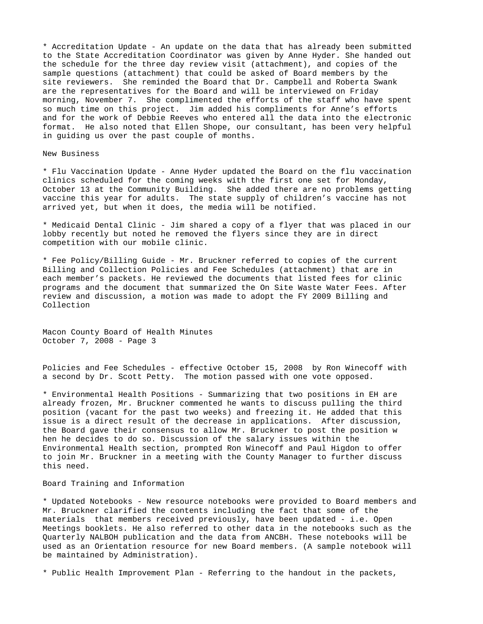\* Accreditation Update - An update on the data that has already been submitted to the State Accreditation Coordinator was given by Anne Hyder. She handed out the schedule for the three day review visit (attachment), and copies of the sample questions (attachment) that could be asked of Board members by the site reviewers. She reminded the Board that Dr. Campbell and Roberta Swank are the representatives for the Board and will be interviewed on Friday morning, November 7. She complimented the efforts of the staff who have spent so much time on this project. Jim added his compliments for Anne's efforts and for the work of Debbie Reeves who entered all the data into the electronic format. He also noted that Ellen Shope, our consultant, has been very helpful in guiding us over the past couple of months.

New Business

\* Flu Vaccination Update - Anne Hyder updated the Board on the flu vaccination clinics scheduled for the coming weeks with the first one set for Monday, October 13 at the Community Building. She added there are no problems getting vaccine this year for adults. The state supply of children's vaccine has not arrived yet, but when it does, the media will be notified.

\* Medicaid Dental Clinic - Jim shared a copy of a flyer that was placed in our lobby recently but noted he removed the flyers since they are in direct competition with our mobile clinic.

\* Fee Policy/Billing Guide - Mr. Bruckner referred to copies of the current Billing and Collection Policies and Fee Schedules (attachment) that are in each member's packets. He reviewed the documents that listed fees for clinic programs and the document that summarized the On Site Waste Water Fees. After review and discussion, a motion was made to adopt the FY 2009 Billing and Collection

Macon County Board of Health Minutes October 7, 2008 - Page 3

Policies and Fee Schedules - effective October 15, 2008 by Ron Winecoff with a second by Dr. Scott Petty. The motion passed with one vote opposed.

\* Environmental Health Positions - Summarizing that two positions in EH are already frozen, Mr. Bruckner commented he wants to discuss pulling the third position (vacant for the past two weeks) and freezing it. He added that this issue is a direct result of the decrease in applications. After discussion, the Board gave their consensus to allow Mr. Bruckner to post the position w hen he decides to do so. Discussion of the salary issues within the Environmental Health section, prompted Ron Winecoff and Paul Higdon to offer to join Mr. Bruckner in a meeting with the County Manager to further discuss this need.

## Board Training and Information

\* Updated Notebooks - New resource notebooks were provided to Board members and Mr. Bruckner clarified the contents including the fact that some of the materials that members received previously, have been updated - i.e. Open Meetings booklets. He also referred to other data in the notebooks such as the Quarterly NALBOH publication and the data from ANCBH. These notebooks will be used as an Orientation resource for new Board members. (A sample notebook will be maintained by Administration).

\* Public Health Improvement Plan - Referring to the handout in the packets,